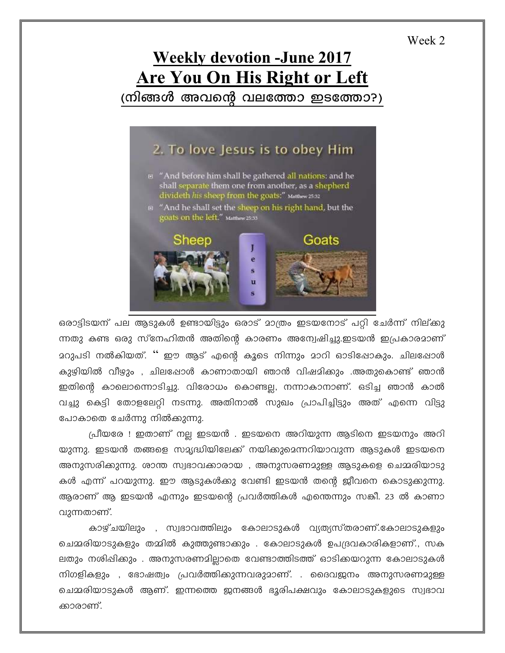## Week 2

## **Weekly devotion -June 2017 Are You On His Right or Left** (നിങ്ങൾ അവന്റെ വലത്തോ ഇടത്തോ?)

## 2. To love Jesus is to obey Him **E "And before him shall be gathered all nations: and he** shall separate them one from another, as a shepherd<br>divideth his sheep from the goats:" Matthew 25:32 And he shall set the sheep on his right hand, but the goats on the left." Matthew 25.33 Goats Sheep π

ഒരാട്ടിടയന് പല ആടുകൾ ഉണ്ടായിട്ടും ഒരാട് മാത്രം ഇടയനോട് പറ്റി ചേർന്ന് നില്ക്കു ന്നതു കണ്ട ഒരു സ്നേഹിതൻ അതിന്റെ കാരണം അന്വേഷിച്ചു.ഇടയൻ ഇപ്രകാരമാണ് മറുപടി നൽകിയത്. '' ഈ ആട് എന്റെ കൂടെ നിന്നും മാറി ഓടിഷോകും. ചിലപ്പോൾ കുഴിയിൽ വീഴും , ചിലപ്പോൾ കാണാതായി ഞാൻ വിഷമിക്കും .അതുകൊണ്ട് ഞാൻ ഇതിന്റെ കാലൊന്നൊടിച്ചു. വിരോധം കൊണ്ടല്ല, നന്നാകാനാണ്. ഒടിച്ച ഞാൻ കാൽ വച്ചു കെട്ടി തോളലേറ്റി നടന്നു. അതിനാൽ സുഖം പ്രാപിച്ചിട്ടും അത് എന്നെ വിട്ടു പോകാതെ ചേർന്നു നിൽക്കുന്നു.

പ്രീയരേ ! ഇതാണ് നല്ല ഇടയൻ . ഇടയനെ അറിയുന്ന ആടിനെ ഇടയനും അറി യുന്നു. ഇടയൻ തങ്ങളെ സമൃദ്ധിയിലേക്ക് നയിക്കുമെന്നറിയാവുന്ന ആടുകൾ ഇടയനെ അനുസരിക്കുന്നു. ശാന്ത സ്വഭാവക്കാരായ , അനുസരണമുള്ള ആടുകളെ ചെമ്മരിയാടു കൾ എന്ന് പറയുന്നു. ഈ ആടുകൾക്കു വേണ്ടി ഇടയൻ തന്റെ ജീവനെ കൊടുക്കുന്നു. ആരാണ് ആ ഇടയൻ എന്നും ഇടയന്റെ പ്രവർത്തികൾ എന്തെന്നും സങ്കീ. 23 ൽ കാണാ വുന്നതാണ്.

കാഴ്ചയിലും , സ്വഭാവത്തിലും കോലാടുകൾ വ്യത്യസ്തരാണ്.കോലാടുകളും ചെമ്മരിയാടുകളും തമ്മിൽ കുത്തുണ്ടാക്കും . കോലാടുകൾ ഉപദ്രവകാരികളാണ്., സക ലതും നശിഷിക്കും . അനുസരണമില്ലാതെ വേണ്ടാത്തിടത്ത് ഓടിക്കയറുന്ന കോലാടുകൾ നിഗളികളും , ഭോഷത്വം പ്രവർത്തിക്കുന്നവരുമാണ്. . ദൈവജനം അനുസരണമുള്ള ചെമ്മരിയാടുകൾ ആണ്. ഇന്നത്തെ ഇനങ്ങൾ ഭൂരിപക്ഷവും കോലാടുകളുടെ സ്വഭാവ ക്കാരാണ്.